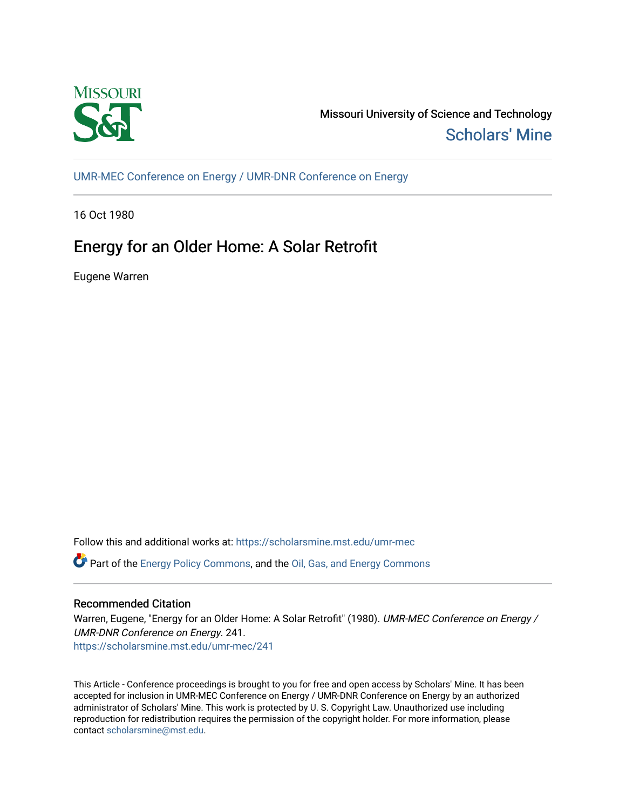

Missouri University of Science and Technology [Scholars' Mine](https://scholarsmine.mst.edu/) 

[UMR-MEC Conference on Energy / UMR-DNR Conference on Energy](https://scholarsmine.mst.edu/umr-mec)

16 Oct 1980

# Energy for an Older Home: A Solar Retrofit

Eugene Warren

Follow this and additional works at: [https://scholarsmine.mst.edu/umr-mec](https://scholarsmine.mst.edu/umr-mec?utm_source=scholarsmine.mst.edu%2Fumr-mec%2F241&utm_medium=PDF&utm_campaign=PDFCoverPages) 

Part of the [Energy Policy Commons](http://network.bepress.com/hgg/discipline/1065?utm_source=scholarsmine.mst.edu%2Fumr-mec%2F241&utm_medium=PDF&utm_campaign=PDFCoverPages), and the [Oil, Gas, and Energy Commons](http://network.bepress.com/hgg/discipline/171?utm_source=scholarsmine.mst.edu%2Fumr-mec%2F241&utm_medium=PDF&utm_campaign=PDFCoverPages)

# Recommended Citation

Warren, Eugene, "Energy for an Older Home: A Solar Retrofit" (1980). UMR-MEC Conference on Energy / UMR-DNR Conference on Energy. 241.

[https://scholarsmine.mst.edu/umr-mec/241](https://scholarsmine.mst.edu/umr-mec/241?utm_source=scholarsmine.mst.edu%2Fumr-mec%2F241&utm_medium=PDF&utm_campaign=PDFCoverPages) 

This Article - Conference proceedings is brought to you for free and open access by Scholars' Mine. It has been accepted for inclusion in UMR-MEC Conference on Energy / UMR-DNR Conference on Energy by an authorized administrator of Scholars' Mine. This work is protected by U. S. Copyright Law. Unauthorized use including reproduction for redistribution requires the permission of the copyright holder. For more information, please contact [scholarsmine@mst.edu](mailto:scholarsmine@mst.edu).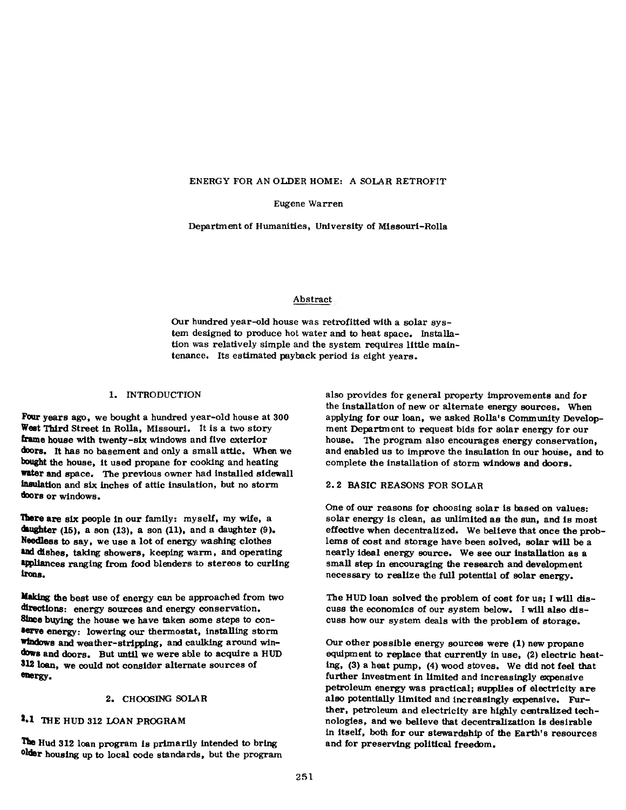#### **ENERGY FOR AN OLDER HOME: A SOLAR RETROFIT**

Eugene Warren

Department of Humanities, University of Missouri-Rolla

#### Abstract

Our hundred year-old house was retrofitted with a solar system designed to produce hot water and to heat space. Installation was relatively simple and the system requires little maintenance. Its estimated payback period is eight years.

#### 1. INTRODUCTION

Four years ago, we bought a hundred year-old house at 300 West Third Street in Rolla, Missouri. It is a two story frame house with twenty-six windows and five exterior doors. It has no basement and only a small attic. When we bought the house, it used propane for cooking and heating water and space. The previous owner had installed sidewall insulation and six inches of attic insulation, but no storm doors or windows.

**There** are six people in our family: myself, my wife, a daughter  $(15)$ , a son  $(13)$ , a son  $(11)$ , and a daughter  $(9)$ . **N eed less** to say, we use a lot of energy washing clothes and dishes, taking showers, keeping warm, and operating appliances ranging from food blenders to stereos to curling **irons.**

Making the best use of energy can be approached from two directions: energy sources and energy conservation. **Since** buying the house we have taken some steps to con**serve** energy: lowering our thermostat, installing storm **windows** and weather-stripping, and caulking around win**dows** and doors. But until we were able to acquire a HUD 312 loan, we could not consider alternate sources of **energy.**

#### 2. CHOOSING SOLAR

# 2»1 THE HUD 312 LOAN PROGRAM

The Hud 312 loan program is primarily intended to bring older housing up to local code standards, but the program also provides for general property improvements and for the installation of new or alternate energy sources. When applying for our loan, we asked Rolla's Community Development Department to request bids for solar energy for our house. The program also encourages energy conservation, and enabled us to improve the insulation in our house, and to complete the installation of storm windows and doors.

# 2.2 BASIC REASONS FOR SOLAR

One of our reasons for choosing solar is based on values: solar energy is clean, as unlimited as the sun, and is most effective when decentralized. We believe that once the problems of cost and storage have been solved, solar will be a nearly ideal energy source. We see our installation as a small step in encouraging the research and development necessary to realize the full potential of solar energy.

The HUD loan solved the problem of cost for us; I will discuss the economics of our system below. I will also discuss how our system deals with the problem of storage.

Our other possible energy sources were (1) new propane equipment to replace that currently in use, (2) electric heating, (3) a heat pump, (4) wood stoves. We did not feel that further investment in limited and increasingly expensive petroleum energy was practical; supplies of electricity are also potentially limited and increasingly expensive. Further, petroleum and electricity are highly centralized technologies, and we believe that decentralization is desirable in itself, both for our stewardship of the Earth's resources and for preserving political freedom.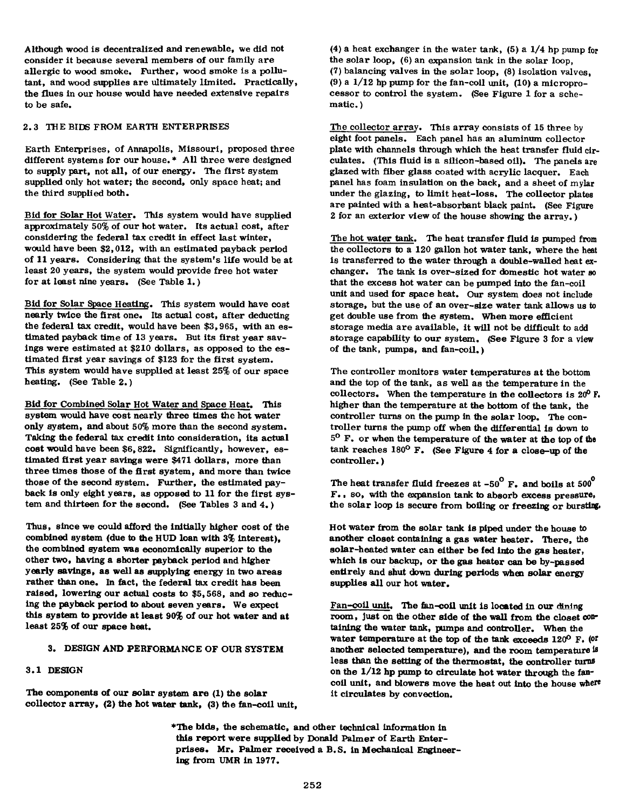Although wood is decentralized and renewable, we did not consider it because several members of our family are allergic to wood smoke. Further, wood smoke is a pollutant, and wood supplies are ultimately limited. Practically, the flues in our house would have needed extensive repairs to be safe.

#### 2.3 THE BIDS FROM EARTH ENTERPRISES

Earth Enterprises, of Annapolis, Missouri, proposed three different systems for our house.\* All three were designed to supply part, not all, of our energy. The first system supplied only hot water; the second, only space heat; and the third supplied both.

Bid for Solar Hot Water. This system would have supplied approximately 50% of our hot water. Its actual cost, after considering the federal tax credit in effect last winter, would have been \$2,012, with an estimated payback period of 11 years. Considering that the system's life would be at least 20 years, the system would provide free hot water for at least nine years. (See Table 1.)

Bid for Solar Space Heating. This system would have cost nearly twice the first one. Its actual cost, after deducting the federal tax credit, would have been \$3,965, with an estimated payback time of 13 years. But its first year savings were estimated at \$210 dollars, as opposed to the estimated first year savings of \$123 for the first system. This system would have supplied at least 25% of our space heating. (See Table 2.)

Bid for Combined Solar Hot Water and Space Heat. This system would have cost nearly three times the hot water only system, and about 50% more than the second system. Taking the federal tax credit into consideration, its actual cost would have been \$6,822. Significantly, however, estimated first year savings were \$471 dollars, more than three times those of the first system, and more than twice those of the second system. Further, the estimated payback is only eight years, as opposed to 11 for the first system and thirteen for the second. (See Tables 3 and 4.)

Thus, since we could afford the initially higher cost of the combined system (due to the HUD loan with 3% interest), the combined system was economically superior to the other two, having a shorter payback period and higher yearly savings, as well as supplying energy in two areas rather than one. In fact, the federal tax credit has been raised, lowering our actual costs to \$5,568, and so reducing the payback period to about seven years. We expect this system to provide at least 90% of our hot water and at least 25% of our space heat.

#### 3. DESIGN AND PERFORMANCE OF OUR SYSTEM

#### 3.1 DESIGN

The components of our solar system are (1) the solar collector array, (2) the hot water tank, (3) the fan-coil unit,

(4) a heat exchanger in the water tank, (5) a 1/4 hp pump for the solar loop, (6) an expansion tank in the solar loop, (7) balancing valves in the solar loop, (8) isolation valves, (9) a  $1/12$  hp pump for the fan-coil unit, (10) a microprocessor to control the system. (See Figure 1 for a schematic. )

The collector array. This array consists of 15 three by eight foot panels. Each panel has an aluminum collector plate with channels through which the heat transfer fluid circulates. (This fluid is a silicon-based oil). The panels are glazed with fiber glass coated with acrylic lacquer. Each panel has foam insulation on the back, and a sheet of mylar under the glazing, to limit heat-loss. The collector plates are painted with a heat-absorbant black paint. (See Figure 2 for an exterior view of the house showing the array.)

The hot water tank. The heat transfer fluid is pumped from the collectors to a 120 gallon hot water tank, where the heat is transferred to the water through a double-walled heat exchanger. The tank is over-sized for domestic hot water so that the excess hot water can be pumped into the fan-coil unit and used for space heat. Our system does not include storage, but the use of an over-size water tank allows us to get double use from the system. When more efficient storage media are available, it will not be difficult to add storage capability to our system. (See Figure 3 for a view of the tank, pumps, and fan-coil.)

The controller monitors water temperatures at the bottom and the top of the tank, as well as the temperature in the collectors. When the temperature in the collectors is 20° F. higher than the temperature at the bottom of the tank, the controller turns on the pump in the solar loop. The controller turns the pump off when the differential is down to 5° F. or when the temperature of the water at the top of the tank reaches 180° F. (See Figure 4 for a close-up of the controller.)

The heat transfer fluid freezes at  $-50^{\circ}$  F. and boils at  $500^{\circ}$ F ., so, with the expansion tank to absorb excess pressure, the solar loop is secure from boiling or freezing or bursting.

Hot water from the solar tank is piped under the house to another closet containing a gas water heater. There, the solar-heated water can either be fed into the gas heater, which is our backup, or the gas heater can be by-passed entirely and shut down during periods when solar energy supplies all our hot water.

Fan-coil unit. The fan-coil unit is located in our **dining** room, just on the other side of the wall from the closet containing the water tank, pumps and controller. When the water temperature at the top of the tank exceeds 120° F. (or another selected temperature), and the room temperature is less than the setting of the thermostat, the controller turns on the  $1/12$  hp pump to circulate hot water through the fancoil unit, and blowers move the heat out into the house where it circulates by convection.

♦The bids, the schematic, and other technical information in this report were supplied by Donald Palmer of Earth Enterprises. Mr. Palmer received a B. S. in Mechanical Engineering from UMR in 1977.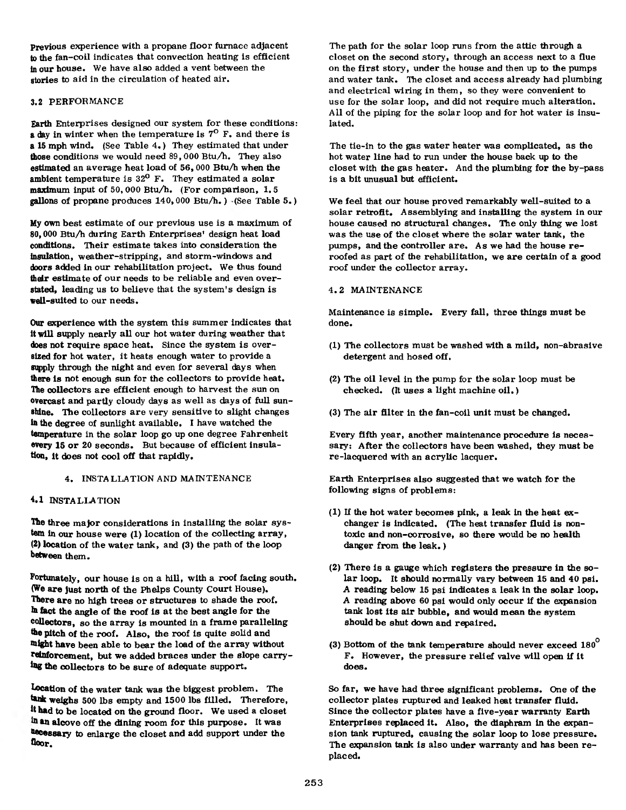Previous experience with a propane floor furnace adjacent to the fan-coil indicates that convection heating is efficient in our house. We have also added a vent between the stories to aid in the circulation of heated air.

# 3.2 PERFORMANCE

Earth Enterprises designed our system for these conditions: a day in winter when the temperature is 7<sup>0</sup> F. and there is a 15 mph wind. (See Table 4.) They estimated that under those conditions we would need 89,000 Btu/h. They also estimated an average heat load of  $56,000$  Btu/h when the ambient temperature is  $32^0$  F. They estimated a solar maximum input of 50,000 Btu/h. (For comparison, 1.5 gallons of propane produces  $140,000$  Btu/h.) (See Table 5.)

My own best estimate of our previous use is a maximum of 80,000 BtuA during Earth Enterprises' design heat load conditions. Their estimate takes into consideration the insulation, weather-stripping, and storm-windows and doors added in our rehabilitation project. We thus found their estimate of our needs to be reliable and even overstated, leading us to believe that the system's design is well-suited to our needs.

Our experience with the system this summer indicates that it will supply nearly all our hot water during weather that does not require space heat. Since the system is oversized for hot water, it heats enough water to provide a supply through the night and even for several days when there is not enough sun for the collectors to provide heat. The collectors are efficient enough to harvest the sun on overcast and partly cloudy days as well as days of full sunshine. The collectors are very sensitive to slight changes in the degree of sunlight available. I have watched the temperature in the solar loop go up one degree Fahrenheit every 15 or 20 seconds. But because of efficient insulation, it does not cool off that rapidly.

#### 4. INSTALLATION AND MAINTENANCE

## 4.1 INSTALLATION

**The** three major considerations in installing the solar sys**tem in** our house were **(1 )** location of the collecting array, (2) location of the water tank, and (3) the path of the loop between them.

**Fortunately,** our house is on a hill, with a roof facing south. **(We a re** just north of the Phelps County Court House). There are no high trees or structures to shade the roof, ih fact the angle of the roof is at the best angle for the collectors, so the array is mounted in a frame paralleling the pitch of the roof. Also, the roof is quite solid and might have been able to bear the load of the array without reinforcement, but we added braces under the slope carrying the collectors to be sure of adequate support.

Location of the water tank was the biggest problem. The tank weighs 500 lbs empty and 1500 lbs filled. Therefore, it had to be located on the ground floor. We used a closet an alcove off the dining room for this purpose. It was **hecessary** to enlarge the closet and add support under the **floor.**

The path for the solar loop runs from the attic through a closet on the second story, through an access next to a flue on the first story, under the house and then up to the pumps and water tank. The closet and access already had plumbing and electrical wiring in them, so they were convenient to use for the solar loop, and did not require much alteration. A ll of the piping for the solar loop and for hot water is insulated.

The tie-in to the gas water heater was complicated, as the hot water line had to run under the house back up to the closet with the gas heater. And the plumbing for the by-pass is a bit unusual but efficient.

We feel that our house proved remarkably well-suited to a solar retrofit. Assemblying and installing the system in our house caused no structural changes. The only thing we lost was the use of the closet where the solar water tank, the pumps, and the controller are. As we had the house reroofed as part of the rehabilitation, we are certain of a good roof under the collector array.

#### 4.2 MAINTENANCE

Maintenance is simple. Every fall, three things must be done.

- (1) The collectors must be washed with a mild, non-abrasive detergent and hosed off.
- (2) The oil level in the pump for the solar loop must be checked. (It uses a light machine oil.)
- (3) The air filter in the fan-coil unit must be changed.

Every fifth year, another maintenance procedure is necessary: After the collectors have been washed, they must be re-lacquered with an acrylic lacquer.

Earth Enterprises also suggested that we watch for the following signs of problems:

- (1) If the hot water becomes pink, a leak in the heat exchanger is indicated. (The heat transfer fluid is nontoxic and non-corrosive, so there would be no health danger from the leak.)
- (2) There is a gauge which registers the pressure in the solar loop. It should normally vary between 15 and 40 psi. A reading below 15 psi indicates a leak in the solar loop. A reading above 60 psi would only occur if the expansion tank lost its air bubble, and would mean the system should be shut down and repaired.
- (3) Bottom of the tank temperature should never exceed  $180^{\circ}$ F. However, the pressure relief valve will open if it does.

So far, we have had three significant problems. One of the collector plates ruptured and leaked heat transfer fluid. Since the collector plates have a five-year warranty Earth Enterprises replaced it. Also, the diaphram in the expansion tank ruptured, causing the solar loop to lose pressure. The expansion tank is also under warranty and has been replaced.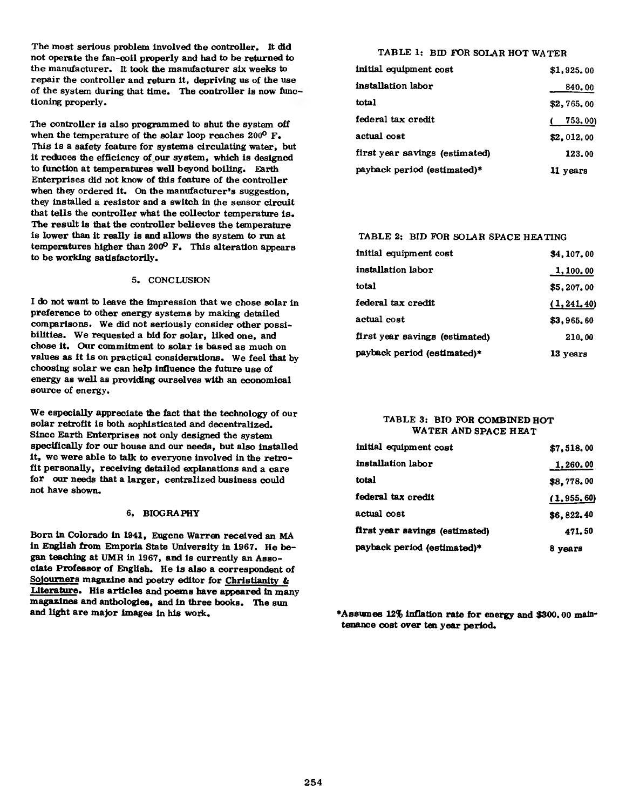The most serious problem involved the controller. It did not operate the fan-coil properly and had to be returned to the manufacturer. It took the manufacturer six weeks to repair the controller and return it, depriving us of the use of the system during that time. The controller is now functioning properly.

The controller is also programmed to shut the system off when the temperature of the solar loop reaches 200° F. This is a safety feature for systems circulating water, but it reduces the efficiency of our system, which is designed to function at temperatures well beyond boiling. Earth Enterprises did not know of this feature of the controller when they ordered it. On the manufacturer's suggestion, they installed a resistor and a switch in the sensor circuit that tells the controller what the collector temperature is. The result is that the controller believes the temperature is lower than it really is and allows the system to run at temperatures higher than 200° F. This alteration appears to be working satisfactorily.

#### 5. CONCLUSION

I do not want to leave the impression that we chose solar in preference to other energy systems by making detailed comparisons. We did not seriously consider other possibilities. We requested a bid for solar, liked one, and chose it. Our commitment to solar is based as much on values as it is on practical considerations. We feel that by choosing solar we can help influence the future use of energy as well as providing ourselves with an economical source of energy.

We especially appreciate the fact that the technology of our solar retrofit is both sophisticated and decentralized. Since Earth Enterprises not only designed the system specifically for our house and our needs, but also installed it, we were able to talk to everyone involved in the retrofit personally, receiving detailed explanations and a care for our needs that a larger, centralized business could not have shown.

#### 6. BIOGRAPHY

Born in Colorado in 1941, Eugene Warren received an MA in English from Emporia State University in 1967. He began teaching at UMR in 1967, and is currently an Associate Professor of English. He is also a correspondent of Sojourners magazine and poetry editor for Christianity & Literature. His articles and poems have appeared in many magazines and anthologies, and in three books. The sun and light are major images in his work.

# TABLE 1: BID FOR SOLAR HOT WATER

| initial equipment cost         | \$1.925.00 |
|--------------------------------|------------|
| installation labor             | 840.00     |
| total                          | \$2,765.00 |
| federal tax credit             | 753.00)    |
| actual cost                    | \$2,012,00 |
| first year savings (estimated) | 123.00     |
| payback period (estimated)*    | 11 years   |

# TABLE 2: BID FOR SOLAR SPACE HEATING

| initial equipment cost         | \$4,107.00   |
|--------------------------------|--------------|
| installation labor             | 1,100.00     |
| total                          | \$5,207,00   |
| federal tax credit             | (1, 241, 40) |
| actual cost                    | \$3,965.60   |
| first year savings (estimated) | 210.00       |
| payback period (estimated)*    | 13 years     |

## TABLE 3: BID FOR COMBINED HOT WATER AND SPACE HEAT

| initial equipment cost         | \$7,518,00   |
|--------------------------------|--------------|
| installation labor             | 1,260.00     |
| total                          | \$8,778.00   |
| federal tax credit             | (1, 955, 60) |
| actual cost                    | \$6,822.40   |
| first year savings (estimated) | 471.50       |
| payback period (estimated)*    | 8 years      |

♦Assumes 12% inflation rate for energy and \$300.00 maintenance cost over ten year period.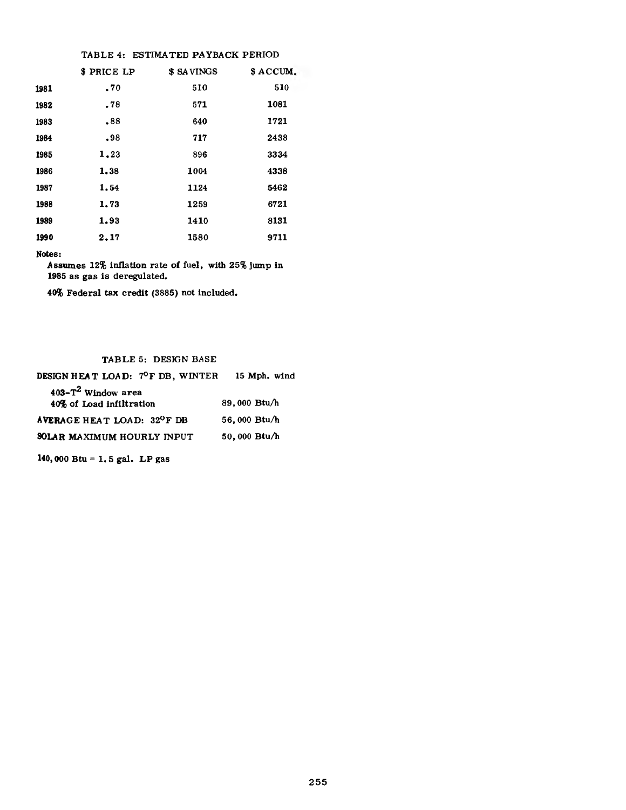## TABLE 4: ESTIMATED PAYBACK PERIOD

|      | \$ PRICE LP | \$ SAVINGS | \$ ACCUM. |
|------|-------------|------------|-----------|
| 1981 | .70         | 510        | 510       |
| 1982 | .78         | 571        | 1081      |
| 1983 | .88         | 640        | 1721      |
| 1984 | .98         | 717        | 2438      |
| 1985 | 1.23        | 896        | 3334      |
| 1986 | 1.38        | 1004       | 4338      |
| 1987 | 1.54        | 1124       | 5462      |
| 1988 | 1,73        | 1259       | 6721      |
| 1989 | 1.93        | 1410       | 8131      |
| 1990 | 2.17        | 1580       | 9711      |

Notes:

Assumes 12% inflation rate of fuel, with 25% jump in 1985 as gas is deregulated.

40% Federal tax credit (3885) not included.

## TABLE 5: DESIGN BASE

| DESIGN HEAT LOAD: 7ºF DB, WINTER        | 15 Mph. wind |
|-----------------------------------------|--------------|
| $403 - T^2$ Window area                 |              |
| 40% of Load infiltration                | 89,000 Btu/h |
| AVERAGE HEAT LOAD: 32 <sup>O</sup> F DB | 56,000 Btu/h |
| <b>SOLAR MAXIMUM HOURLY INPUT</b>       | 50,000 Btu/h |
|                                         |              |

140,000 Btu = 1. 5 gal. LP gas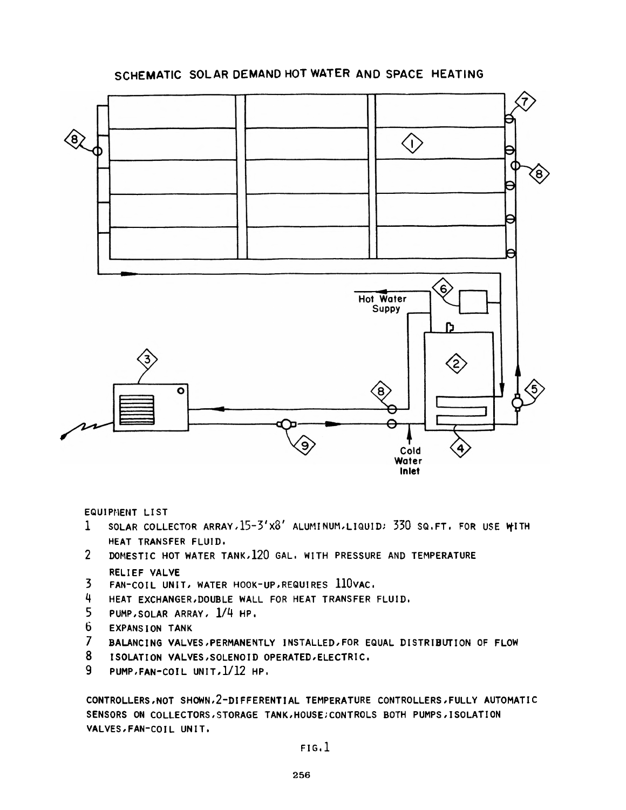# **SCHEMATIC SOLAR DEMAND HOT WATER AND SPACE HEATING**



**EQUIPMENT LIST**

- **1 SOLAR COLLECTOR ARRAY,15-3'x3' ALUMINUM,LIQUID; 330 SQ.FT. FOR USE VfITH HEAT TRANSFER FLUID.**
- **2 DOMESTIC HOT WATER TANK,120** GAL. **WITH PRESSURE** AND **TEMPERATURE RELIEF VALVE**
- **3 FAN-COIL UNIT, WATER HOOK-UP,REQUIRES 110VAC.**
- **4 HEAT EXCHANGER,DOUBLE WALL FOR HEAT TRANSFER FLUID.**
- **5 PUMP,SOLAR ARRAY, 1/4 HP.**
- **6 EXPANSION TANK**
- **7 BALANCING VALVES PERMANENTLY INSTALLED/FOR EQUAL DISTRIBUTION OF FLOW**
- **8 ISOLATION VALVES,SOLENOID OPERATED,ELECTRIC.**
- **9 PUMP,FAN-COIL UNIT,1/12 HP.**

**CONTROLLERS,NOT SHOWN,2-DIFFERENTIAL TEMPERATURE CONTROLLERS,FULLY AUTOMATIC SENSORS ON COLLECTORS,STORAGE TANK,HOUSE;CONTROLS BOTH PUMPS,ISOLATION VALVES,FAN-COIL UNIT.**

**FIG. 1**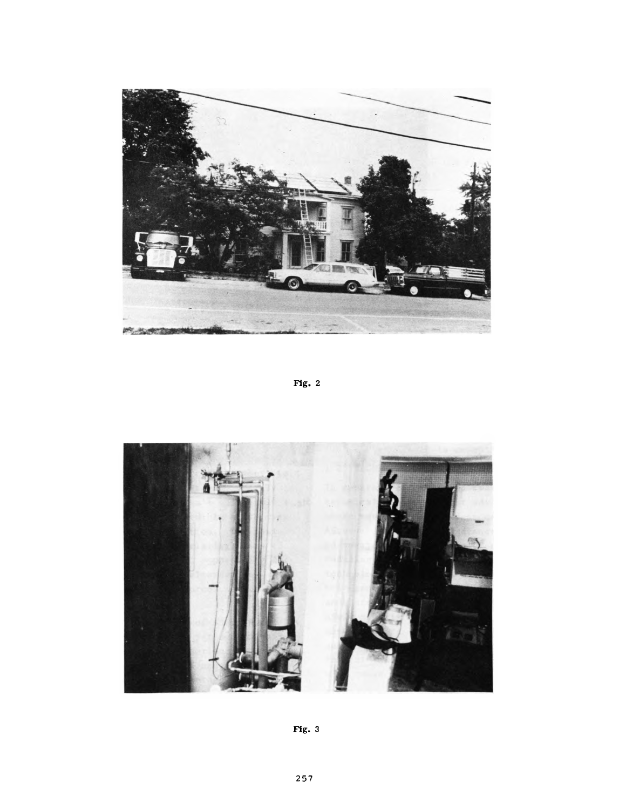

Fig. 2



Fig. 3